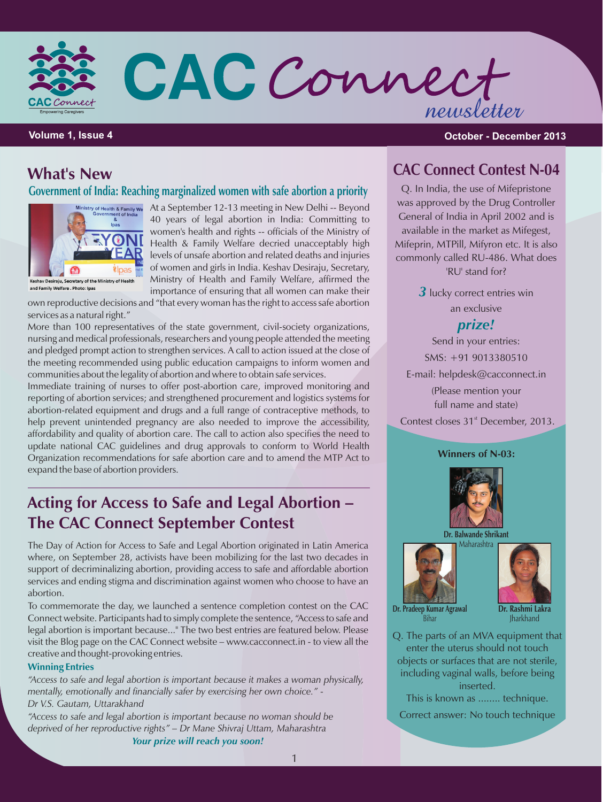

CAC Connect newsletter

#### **Volume 1, Issue 4 October - December 2013**

# **What's New**

**Government of India: Reaching marginalized women with safe abortion a priority**



and Family Welfare , Photo: Ipas

ry of Health & Family we At a September 12-13 meeting in New Delhi -- Beyond 40 years of legal abortion in India: Committing to women's health and rights -- officials of the Ministry of Health & Family Welfare decried unacceptably high levels of unsafe abortion and related deaths and injuries of women and girls in India. Keshav Desiraju, Secretary, Ministry of Health and Family Welfare, affirmed the importance of ensuring that all women can make their

own reproductive decisions and "that every woman has the right to access safe abortion services as a natural right."

More than 100 representatives of the state government, civil-society organizations, nursing and medical professionals, researchers and young people attended the meeting and pledged prompt action to strengthen services. A call to action issued at the close of the meeting recommended using public education campaigns to inform women and communities about the legality of abortion and where to obtain safe services.

Immediate training of nurses to offer post-abortion care, improved monitoring and reporting of abortion services; and strengthened procurement and logistics systems for abortion-related equipment and drugs and a full range of contraceptive methods, to help prevent unintended pregnancy are also needed to improve the accessibility, affordability and quality of abortion care. The call to action also specifies the need to update national CAC guidelines and drug approvals to conform to World Health Organization recommendations for safe abortion care and to amend the MTP Act to expand the base of abortion providers.

# **Acting for Access to Safe and Legal Abortion – The CAC Connect September Contest**

The Day of Action for Access to Safe and Legal Abortion originated in Latin America where, on September 28, activists have been mobilizing for the last two decades in support of decriminalizing abortion, providing access to safe and affordable abortion services and ending stigma and discrimination against women who choose to have an abortion.

To commemorate the day, we launched a sentence completion contest on the CAC Connect website. Participants had to simply complete the sentence, "Access to safe and legal abortion is important because..." The two best entries are featured below. Please visit the Blog page on the CAC Connect website – www.cacconnect.in - to view all the creative and thought-provoking entries.

#### **Winning Entries**

*"Access to safe and legal abortion is important because it makes a woman physically, mentally, emotionally and financially safer by exercising her own choice." - Dr V.S. Gautam, Uttarakhand*

*"Access to safe and legal abortion is important because no woman should be deprived of her reproductive rights" – Dr Mane Shivraj Uttam, Maharashtra Your prize will reach you soon!*

# **CAC Connect Contest N-04**

Q. In India, the use of Mifepristone was approved by the Drug Controller General of India in April 2002 and is available in the market as Mifegest, Mifeprin, MTPill, Mifyron etc. It is also commonly called RU-486. What does 'RU' stand for?

> **3** lucky correct entries win an exclusive

### *prize!*

Send in your entries: SMS: +91 9013380510 E-mail: helpdesk@cacconnect.in (Please mention your full name and state) Contest closes 31<sup>st</sup> December, 2013.

#### **Winners of N-03:**



**Dr. Balwande Shrikant**





**Dr. Pradeep Kumar Agrawal** Bihar

**Dr. Rashmi Lakra Iharkhand** 

Q. The parts of an MVA equipment that enter the uterus should not touch objects or surfaces that are not sterile, including vaginal walls, before being inserted.

This is known as ........ technique.

Correct answer: No touch technique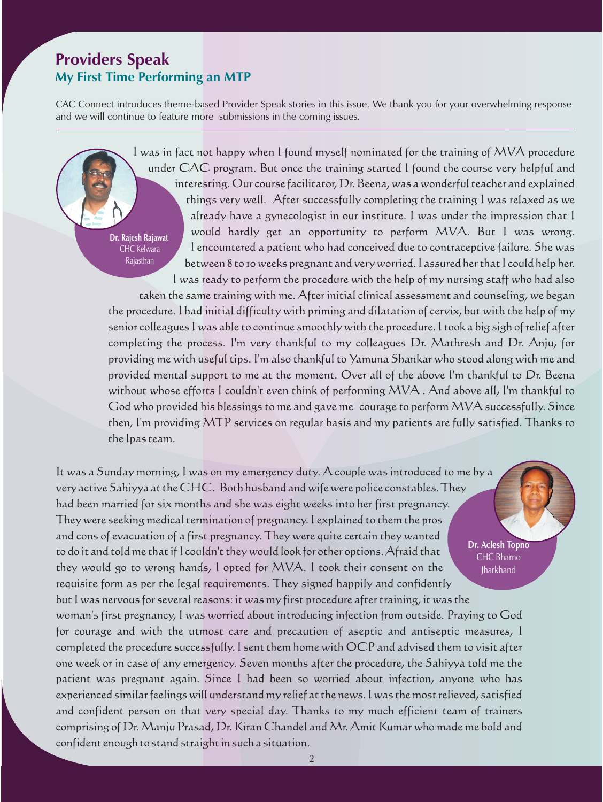# **Providers Speak My First Time Performing an MTP**

Rajasthan

CAC Connect introduces theme-based Provider Speak stories in this issue. We thank you for your overwhelming response and we will continue to feature more submissions in the coming issues.

> I was in fact not happy when I found myself nominated for the training of MVA procedure under CAC program. But once the training started I found the course very helpful and interesting. Our course facilitator, Dr. Beena, was a wonderful teacher and explained things very well. After successfully completing the training I was relaxed as we already have a gynecologist in our institute. I was under the impression that I would hardly get an opportunity to perform MVA. But I was wrong. I encountered a patient who had conceived due to contraceptive failure. She was between 8 to 10 weeks pregnant and very worried. I assured her that I could help her. I was ready to perform the procedure with the help of my nursing staff who had also **Dr. Rajesh Rajawat** CHC Kelwara

> taken the same training with me. After initial clinical assessment and counseling, we began the procedure. I had initial difficulty with priming and dilatation of cervix, but with the help of my senior colleagues I was able to continue smoothly with the procedure. I took a big sigh of relief after completing the process. I'm very thankful to my colleagues Dr. Mathresh and Dr. Anju, for providing me with useful tips. I'm also thankful to Yamuna Shankar who stood along with me and provided mental support to me at the moment. Over all of the above I'm thankful to Dr. Beena without whose efforts I couldn't even think of performing MVA . And above all, I'm thankful to God who provided his blessings to me and gave me courage to perform MVA successfully. Since then, I'm providing MTP services on regular basis and my patients are fully satisfied. Thanks to the Ipas team.

It was a Sunday morning, I was on my emergency duty. A couple was introduced to me by a very active Sahiyya at the CHC. Both husband and wife were police constables. They had been married for six months and she was eight weeks into her first pregnancy. They were seeking medical termination of pregnancy. I explained to them the pros and cons of evacuation of a first pregnancy. They were quite certain they wanted to do it and told me that if I couldn't they would look for other options. Afraid that they would go to wrong hands, I opted for MVA. I took their consent on the requisite form as per the legal requirements. They signed happily and confidently but I was nervous for several reasons: it was my first procedure after training, it was the woman's first pregnancy, I was worried about introducing infection from outside. Praying to God for courage and with the utmost care and precaution of aseptic and antiseptic measures, I completed the procedure successfully. I sent them home with OCP and advised them to visit after one week or in case of any emergency. Seven months after the procedure, the Sahiyya told me the patient was pregnant again. Since I had been so worried about infection, anyone who has experienced similar feelings will understand my relief at the news. I was the most relieved, satisfied and confident person on that very special day. Thanks to my much efficient team of trainers comprising of Dr. Manju Prasad, Dr. Kiran Chandel and Mr. Amit Kumar who made me bold and confident enough to stand straight in such a situation. **Dr. Aclesh Topno** CHC Bharno **Iharkhand**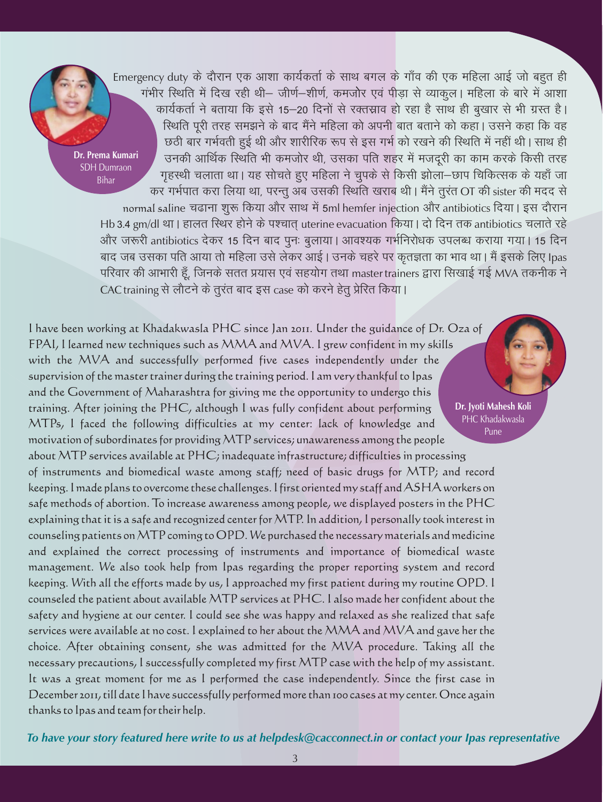Emergency duty के दौरान एक आशा कार्यकर्ता के साथ बगल के गाँव की एक महिला आई जो बहुत ही .<br>गंभीर स्थिति में दिख रही थी– जीर्ण–शीर्ण, कमजोर एवं पीडा से व्याकुल। महिला के बारे में आशा कार्यकर्ता ने बताया कि इसे 15-20 दिनों से रक्तस्राव हो रहा है साथ ही बुखार से भी ग्रस्त है। स्थिति पूरी तरह समझने के बाद मैंने महिला को अपनी बात बताने को कहा। उसने कहा कि वह छठी बार गर्भवती हुई थी और शारीरिक रूप से इस गर्भ को रखने की स्थिति में नहीं थी। साथ ही उनकी आर्थिक स्थिति भी कमजोर थी, उसका पति शहर में मजदरी का काम करके किसी तरह गृहस्थी चलाता था। यह सोचते हुए महिला ने चुपके से किसी झोला–छाप चिकित्सक के यहाँ जा कर गर्भपात करा लिया था, परन्तू अब उसकी स्थिति खराब थी। मैंने तूरंत OT की sister की मदद से normal saline चढाना शुरू किया और साथ में 5ml hemfer injection और antibiotics दिया। इस दौरान Hb 3.4 gm/dl था | हालत स्थिर होने के पश्चात uterine evacuation किया | दो दिन तक antibiotics चलाते रहे और जरूरी antibiotics देकर 15 दिन बाद पुनः बुलाया । आवश्यक गर्भनिरोधक उपलब्ध कराया गया । 15 दिन बाद जब उसका पति आया तो महिला उसे लेकर आई । उनके चहरे पर कृतज्ञता का भाव था । मैं इसके लिए Ipas परिवार की आभारी हूँ, जिनके सतत प्रयास एवं सहयोग तथा master trainers द्वारा सिखाई गई MVA तकनीक ने CAC training से लौटने के तूरंत बाद इस case को करने हेतू प्रेरित किया। **Dr. Prema Kumari** SDH Dumraon Bihar

Pune

I have been working at Khadakwasla PHC since Jan 2011. Under the guidance of Dr. Oza of FPAI, I learned new techniques such as MMA and MVA. I grew confident in my skills with the MVA and successfully performed five cases independently under the supervision of the master trainer during the training period. I am very thankful to Ipas and the Government of Maharashtra for giving me the opportunity to undergo this training. After joining the PHC, although I was fully confident about performing MTPs, I faced the following difficulties at my center: lack of knowledge and motivation of subordinates for providing MTP services; unawareness among the people **Dr. Jyoti Mahesh Koli** PHC Khadakwasla

about MTP services available at PHC; inadequate infrastructure; difficulties in processing of instruments and biomedical waste among staff; need of basic drugs for MTP; and record keeping. I made plans to overcome these challenges. I first oriented my staff and ASHA workers on safe methods of abortion. To increase awareness among people, we displayed posters in the PHC explaining that it is a safe and recognized center for MTP. In addition, I personally took interest in counseling patients on MTP coming to OPD. We purchased the necessary materials and medicine and explained the correct processing of instruments and importance of biomedical waste management. We also took help from Ipas regarding the proper reporting system and record keeping. With all the efforts made by us, I approached my first patient during my routine OPD. I counseled the patient about available MTP services at PHC. I also made her confident about the safety and hygiene at our center. I could see she was happy and relaxed as she realized that safe services were available at no cost. I explained to her about the MMA and MVA and gave her the choice. After obtaining consent, she was admitted for the MVA procedure. Taking all the necessary precautions, I successfully completed my first MTP case with the help of my assistant. It was a great moment for me as I performed the case independently. Since the first case in December 2011, till date I have successfully performed more than 100 cases at my center. Once again thanks to Ipas and team for their help.

*To have your story featured here write to us at helpdesk@cacconnect.in or contact your Ipas representative*